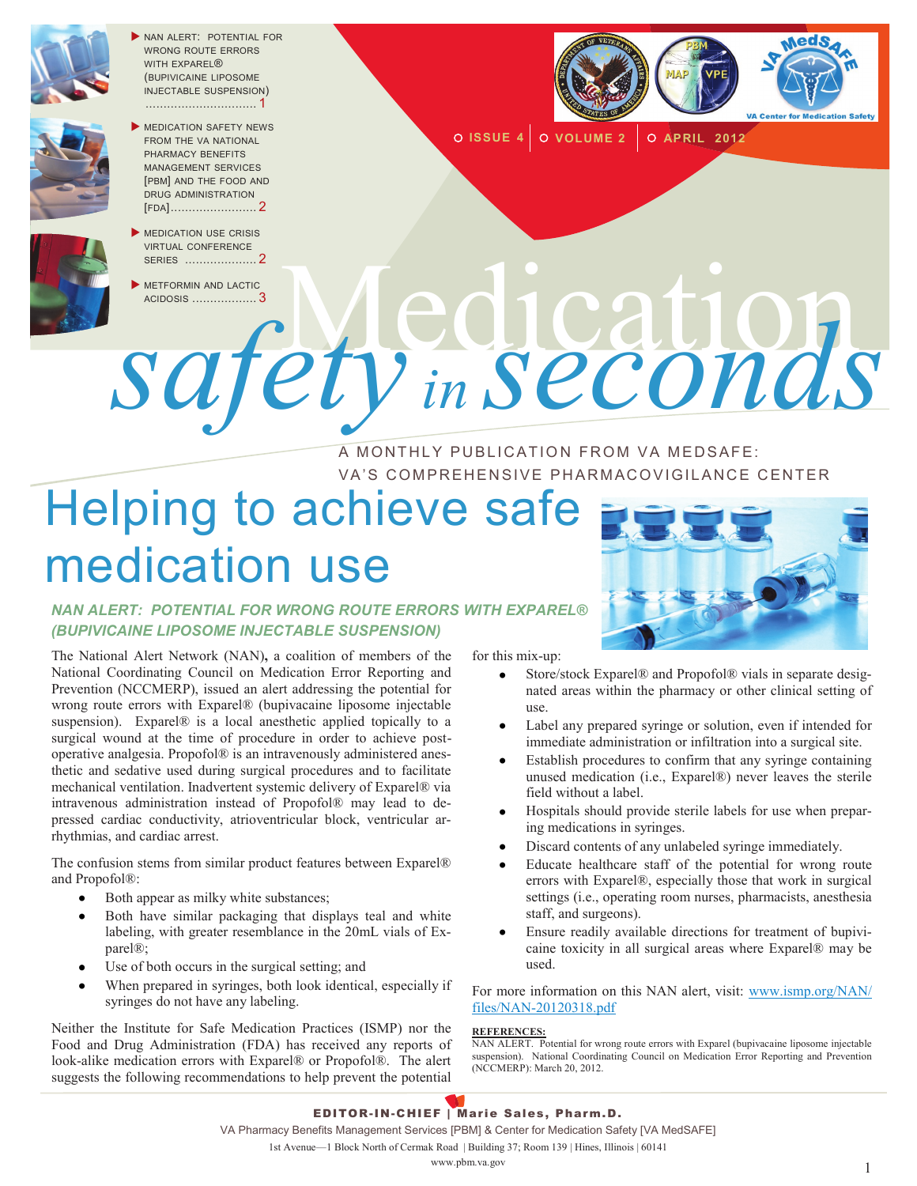

NAN ALERT: POTENTIAL FOR WRONG ROUTE ERRORS WITH FXPARFI<sup>®</sup> (BUPIVICAINE LIPOSOME INJECTABLE SUSPENSION) ............................... 1



**MEDICATION SAFETY NEWS** FROM THE VA NATIONAL PHARMACY BENEFITS MANAGEMENT SERVICES [PBM] AND THE FOOD AND DRUG ADMINISTRATION [FDA]........................ 2



**METFORMIN AND LACTIC** ACIDOSIS .................. <sup>3</sup>Medication



**O ISSUE 4 O VOLUME 2 O APRIL 2012** 

# A MONTHLY PUBLICATION FROM VA MEDSAFE: VA'S COMPREHENSIVE PHARMACOVIGILANCE CENTER *safety in seconds*

# Helping to achieve safe medication use



#### *NAN ALERT: POTENTIAL FOR WRONG ROUTE ERRORS WITH EXPAREL® (BUPIVICAINE LIPOSOME INJECTABLE SUSPENSION)*

The National Alert Network (NAN)**,** a coalition of members of the National Coordinating Council on Medication Error Reporting and Prevention (NCCMERP), issued an alert addressing the potential for wrong route errors with Exparel® (bupivacaine liposome injectable suspension). Exparel® is a local anesthetic applied topically to a surgical wound at the time of procedure in order to achieve postoperative analgesia. Propofol® is an intravenously administered anesthetic and sedative used during surgical procedures and to facilitate mechanical ventilation. Inadvertent systemic delivery of Exparel® via intravenous administration instead of Propofol® may lead to depressed cardiac conductivity, atrioventricular block, ventricular arrhythmias, and cardiac arrest.

The confusion stems from similar product features between Exparel® and Propofol®:

- Both appear as milky white substances;  $\bullet$
- Both have similar packaging that displays teal and white labeling, with greater resemblance in the 20mL vials of Exparel®;
- Use of both occurs in the surgical setting; and  $\bullet$
- When prepared in syringes, both look identical, especially if syringes do not have any labeling.

Neither the Institute for Safe Medication Practices (ISMP) nor the Food and Drug Administration (FDA) has received any reports of look-alike medication errors with Exparel® or Propofol®. The alert suggests the following recommendations to help prevent the potential

for this mix-up:

- Store/stock Exparel® and Propofol® vials in separate designated areas within the pharmacy or other clinical setting of use.
- Label any prepared syringe or solution, even if intended for immediate administration or infiltration into a surgical site.
- Establish procedures to confirm that any syringe containing unused medication (i.e., Exparel®) never leaves the sterile field without a label.
- Hospitals should provide sterile labels for use when preparing medications in syringes.
- Discard contents of any unlabeled syringe immediately.
- Educate healthcare staff of the potential for wrong route errors with Exparel®, especially those that work in surgical settings (i.e., operating room nurses, pharmacists, anesthesia staff, and surgeons).
- Ensure readily available directions for treatment of bupivicaine toxicity in all surgical areas where Exparel® may be used.

For more information on this NAN alert, visit: [www.ismp.org/NAN/](http://www.ismp.org/NAN/files/NAN-20120318.pdf) [files/NAN-20120318.pdf](http://www.ismp.org/NAN/files/NAN-20120318.pdf)

#### **REFERENCES:**

EDITOR-IN-CHIEF | Marie Sales, Pharm.D. VA Pharmacy Benefits Management Services [PBM] & Center for Medication Safety [VA MedSAFE] 1st Avenue—1 Block North of Cermak Road | Building 37; Room 139 | Hines, Illinois | 60141

NAN ALERT. Potential for wrong route errors with Exparel (bupivacaine liposome injectable suspension). National Coordinating Council on Medication Error Reporting and Prevention (NCCMERP): March 20, 2012.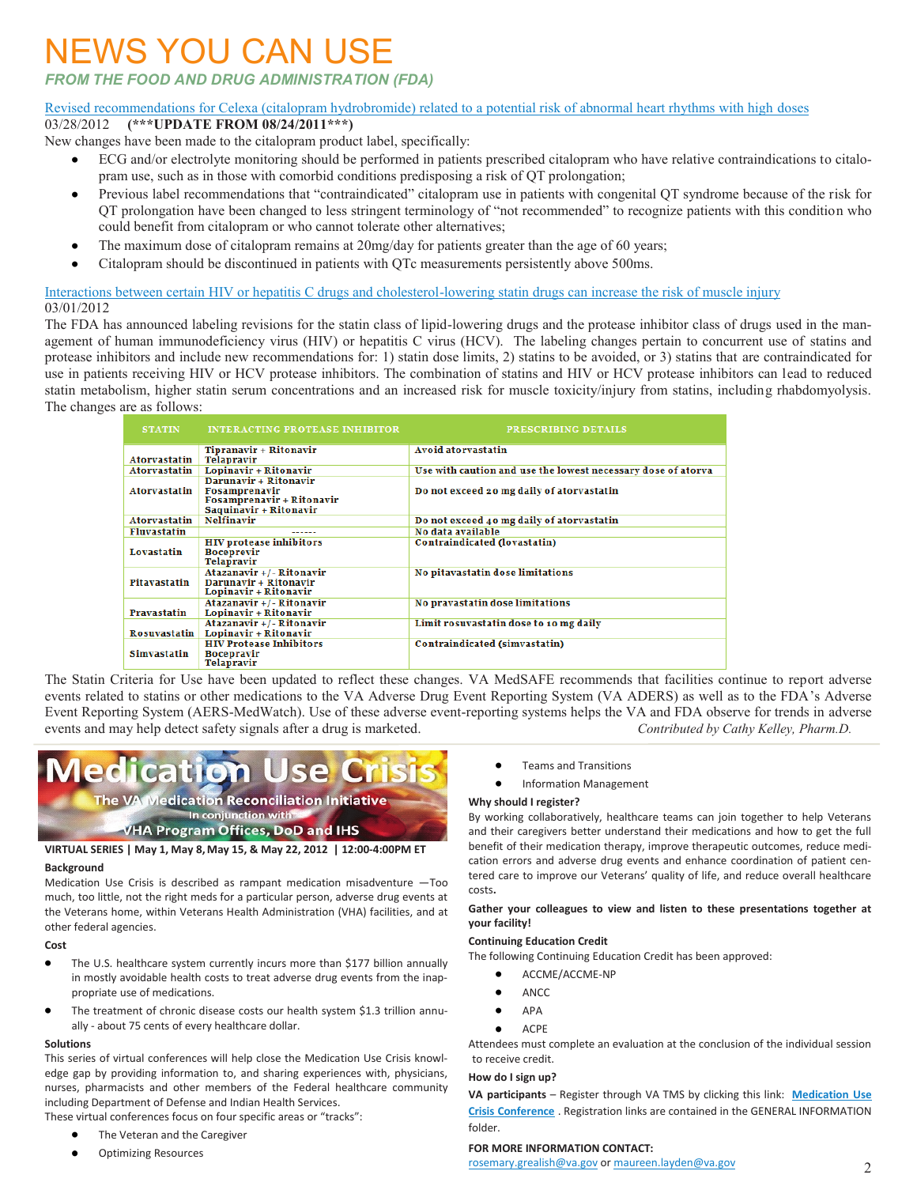## NEWS YOU CAN USE

*FROM THE FOOD AND DRUG ADMINISTRATION (FDA)*

#### [Revised recommendations for Celexa \(citalopram hydrobromide\) related to a potential risk of abnormal heart rhythms with high doses](http://www.fda.gov/Drugs/DrugSafety/ucm297391.htm)

#### 03/28/2012 **(\*\*\*UPDATE FROM 08/24/2011\*\*\*)**

- New changes have been made to the citalopram product label, specifically:
	- ECG and/or electrolyte monitoring should be performed in patients prescribed citalopram who have relative contraindications to citalo- $\bullet$ pram use, such as in those with comorbid conditions predisposing a risk of QT prolongation;
	- Previous label recommendations that "contraindicated" citalopram use in patients with congenital QT syndrome because of the risk for QT prolongation have been changed to less stringent terminology of "not recommended" to recognize patients with this condition who could benefit from citalopram or who cannot tolerate other alternatives;
	- The maximum dose of citalopram remains at 20mg/day for patients greater than the age of 60 years;
	- $\bullet$ Citalopram should be discontinued in patients with QTc measurements persistently above 500ms.

[Interactions between certain HIV or hepatitis C drugs and cholesterol-lowering statin drugs can increase the risk of muscle injury](http://www.fda.gov/Drugs/DrugSafety/ucm293877.htm) 03/01/2012

The FDA has announced labeling revisions for the statin class of lipid-lowering drugs and the protease inhibitor class of drugs used in the management of human immunodeficiency virus (HIV) or hepatitis C virus (HCV). The labeling changes pertain to concurrent use of statins and protease inhibitors and include new recommendations for: 1) statin dose limits, 2) statins to be avoided, or 3) statins that are contraindicated for use in patients receiving HIV or HCV protease inhibitors. The combination of statins and HIV or HCV protease inhibitors can lead to reduced statin metabolism, higher statin serum concentrations and an increased risk for muscle toxicity/injury from statins, including rhabdomyolysis. The changes are as follows:

| <b>STATIN</b>      | <b>INTERACTING PROTEASE INHIBITOR</b>                                                         | PRESCRIBING DETAILS                                          |  |  |
|--------------------|-----------------------------------------------------------------------------------------------|--------------------------------------------------------------|--|--|
|                    | Tipranavir + Ritonavir                                                                        | <b>Avoid atorvastatin</b>                                    |  |  |
| Atorvastatin       | <b>Telapravir</b>                                                                             |                                                              |  |  |
| Atorvastatin       | Lopinavir + Ritonavir                                                                         | Use with caution and use the lowest necessary dose of atorya |  |  |
| Atorvastatin       | Darunavir + Ritonavir<br>Fosamprenavir<br>Fosamprenavir + Ritonavir<br>Saquinavir + Ritonavir | Do not exceed 20 mg daily of atorvastatin                    |  |  |
| Atorvastatin       | Nelfinavir                                                                                    | Do not exceed 40 mg daily of atorvastatin                    |  |  |
| <b>Fluvastatin</b> | ------                                                                                        | No data available                                            |  |  |
| Lovastatin         | <b>HIV protease inhibitors</b><br><b>Boceprevir</b><br>Telapravir                             | Contraindicated (lovastatin)                                 |  |  |
| Pitavastatin       | Atazanavir +/- Ritonavir<br>Darunavir + Ritonavir<br>Lopinavir + Ritonavir                    | No pitavastatin dose limitations                             |  |  |
| <b>Pravastatin</b> | Atazanavir +/- Ritonavir<br>Lopinavir + Ritonavir                                             | No pravastatin dose limitations                              |  |  |
| Rosuvastatin       | Atazanavir +/- Ritonavir<br>Lopinavir + Ritonavir                                             | Limit rosuvastatin dose to 10 mg daily                       |  |  |
| Simvastatin        | <b>HIV Protease Inhibitors</b><br><b>Bocepravir</b><br>Telanravir                             | Contraindicated (simvastatin)                                |  |  |

The Statin Criteria for Use have been updated to reflect these changes. VA MedSAFE recommends that facilities continue to report adverse events related to statins or other medications to the VA Adverse Drug Event Reporting System (VA ADERS) as well as to the FDA's Adverse Event Reporting System (AERS-MedWatch). Use of these adverse event-reporting systems helps the VA and FDA observe for trends in adverse events and may help detect safety signals after a drug is marketed. *Contributed by Cathy Kelley, Pharm.D.* 

## edicati**on** Use

The VA Medication Reconciliation Initiative In conjunction with **VHA Program Offices, DoD and IHS** 

#### **VIRTUAL SERIES | May 1, May 8,May 15, & May 22, 2012 | 12:00-4:00PM ET**

#### **Background**

Medication Use Crisis is described as rampant medication misadventure —Too much, too little, not the right meds for a particular person, adverse drug events at the Veterans home, within Veterans Health Administration (VHA) facilities, and at other federal agencies.

#### **Cost**

- The U.S. healthcare system currently incurs more than \$177 billion annually  $\bullet$ in mostly avoidable health costs to treat adverse drug events from the inappropriate use of medications.
- The treatment of chronic disease costs our health system \$1.3 trillion annually - about 75 cents of every healthcare dollar.

#### **Solutions**

This series of virtual conferences will help close the Medication Use Crisis knowledge gap by providing information to, and sharing experiences with, physicians, nurses, pharmacists and other members of the Federal healthcare community including Department of Defense and Indian Health Services.

- These virtual conferences focus on four specific areas or "tracks":
	- The Veteran and the Caregiver
	- Optimizing Resources
- $\bullet$ Teams and Transitions
- Information Management

#### **Why should I register?**

By working collaboratively, healthcare teams can join together to help Veterans and their caregivers better understand their medications and how to get the full benefit of their medication therapy, improve therapeutic outcomes, reduce medication errors and adverse drug events and enhance coordination of patient centered care to improve our Veterans' quality of life, and reduce overall healthcare costs**.**

#### **Gather your colleagues to view and listen to these presentations together at your facility!**

#### **Continuing Education Credit**

The following Continuing Education Credit has been approved:

- ACCME/ACCME-NP
- ANCC
- APA
- ACPE

 $\bullet$ 

Attendees must complete an evaluation at the conclusion of the individual session to receive credit.

#### **How do I sign up?**

**VA participants** – Register through VA TMS by clicking this link: **[Medication Use](http://vaww.infoshare.va.gov/sites/MedRecon/Shared%20Documents/Forms/AllItems.aspx?RootFolder=%2fsites%2fMedRecon%2fShared%20Documents%2fMedication%20Use%20Crisis%20Tuesdays%20in%20May%202012&FolderCTID=&View=%7bD8F36071%2dE5B1%2d4E98%2d97B3%2d006B4187BE9C%7d)  [Crisis Conference](http://vaww.infoshare.va.gov/sites/MedRecon/Shared%20Documents/Forms/AllItems.aspx?RootFolder=%2fsites%2fMedRecon%2fShared%20Documents%2fMedication%20Use%20Crisis%20Tuesdays%20in%20May%202012&FolderCTID=&View=%7bD8F36071%2dE5B1%2d4E98%2d97B3%2d006B4187BE9C%7d)** . Registration links are contained in the GENERAL INFORMATION folder.

#### **FOR MORE INFORMATION CONTACT:**

[rosemary.grealish@va.gov](mailto:rosemary.grealish@va.gov) or [maureen.layden@va.gov](mailto:maureen.layden@va.gov)